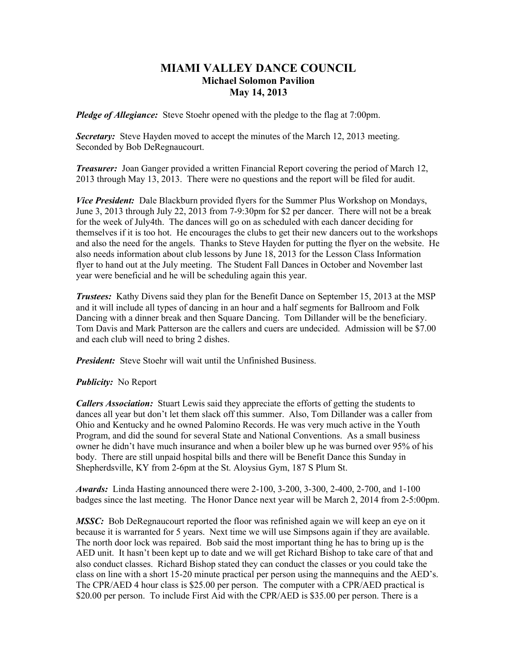## **MIAMI VALLEY DANCE COUNCIL Michael Solomon Pavilion May 14, 2013**

*Pledge of Allegiance:* Steve Stoehr opened with the pledge to the flag at 7:00pm.

*Secretary:* Steve Hayden moved to accept the minutes of the March 12, 2013 meeting. Seconded by Bob DeRegnaucourt.

*Treasurer:* Joan Ganger provided a written Financial Report covering the period of March 12, 2013 through May 13, 2013. There were no questions and the report will be filed for audit.

*Vice President:* Dale Blackburn provided flyers for the Summer Plus Workshop on Mondays, June 3, 2013 through July 22, 2013 from 7-9:30pm for \$2 per dancer. There will not be a break for the week of July4th. The dances will go on as scheduled with each dancer deciding for themselves if it is too hot. He encourages the clubs to get their new dancers out to the workshops and also the need for the angels. Thanks to Steve Hayden for putting the flyer on the website. He also needs information about club lessons by June 18, 2013 for the Lesson Class Information flyer to hand out at the July meeting. The Student Fall Dances in October and November last year were beneficial and he will be scheduling again this year.

*Trustees:* Kathy Divens said they plan for the Benefit Dance on September 15, 2013 at the MSP and it will include all types of dancing in an hour and a half segments for Ballroom and Folk Dancing with a dinner break and then Square Dancing. Tom Dillander will be the beneficiary. Tom Davis and Mark Patterson are the callers and cuers are undecided. Admission will be \$7.00 and each club will need to bring 2 dishes.

*President:* Steve Stoehr will wait until the Unfinished Business.

## *Publicity:* No Report

*Callers Association:* Stuart Lewis said they appreciate the efforts of getting the students to dances all year but don't let them slack off this summer. Also, Tom Dillander was a caller from Ohio and Kentucky and he owned Palomino Records. He was very much active in the Youth Program, and did the sound for several State and National Conventions. As a small business owner he didn't have much insurance and when a boiler blew up he was burned over 95% of his body. There are still unpaid hospital bills and there will be Benefit Dance this Sunday in Shepherdsville, KY from 2-6pm at the St. Aloysius Gym, 187 S Plum St.

*Awards:* Linda Hasting announced there were 2-100, 3-200, 3-300, 2-400, 2-700, and 1-100 badges since the last meeting. The Honor Dance next year will be March 2, 2014 from 2-5:00pm.

*MSSC:* Bob DeRegnaucourt reported the floor was refinished again we will keep an eye on it because it is warranted for 5 years. Next time we will use Simpsons again if they are available. The north door lock was repaired. Bob said the most important thing he has to bring up is the AED unit. It hasn't been kept up to date and we will get Richard Bishop to take care of that and also conduct classes. Richard Bishop stated they can conduct the classes or you could take the class on line with a short 15-20 minute practical per person using the mannequins and the AED's. The CPR/AED 4 hour class is \$25.00 per person. The computer with a CPR/AED practical is \$20.00 per person. To include First Aid with the CPR/AED is \$35.00 per person. There is a